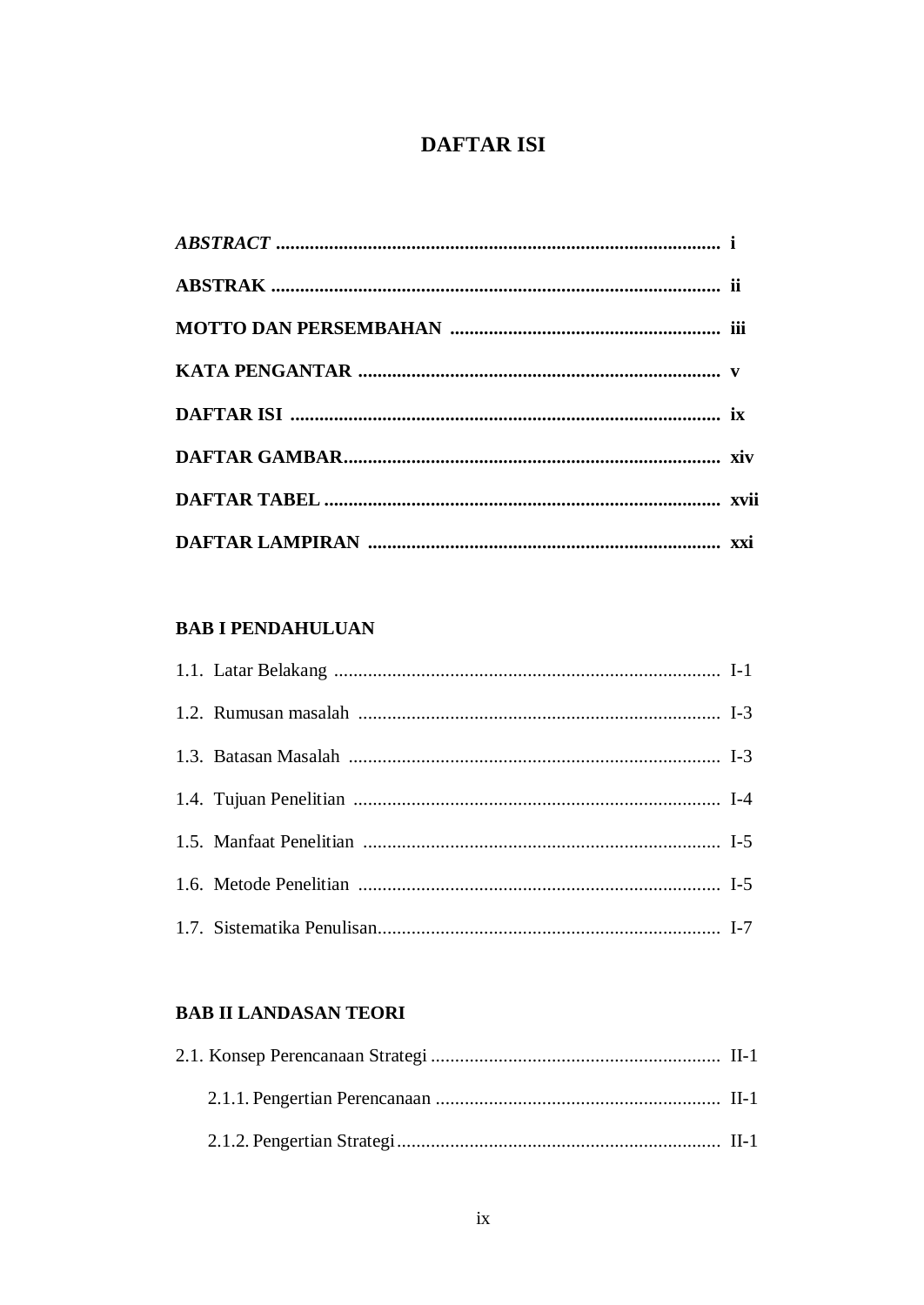# **DAFTAR ISI**

## **BAB I PENDAHULUAN**

## **BAB II LANDASAN TEORI**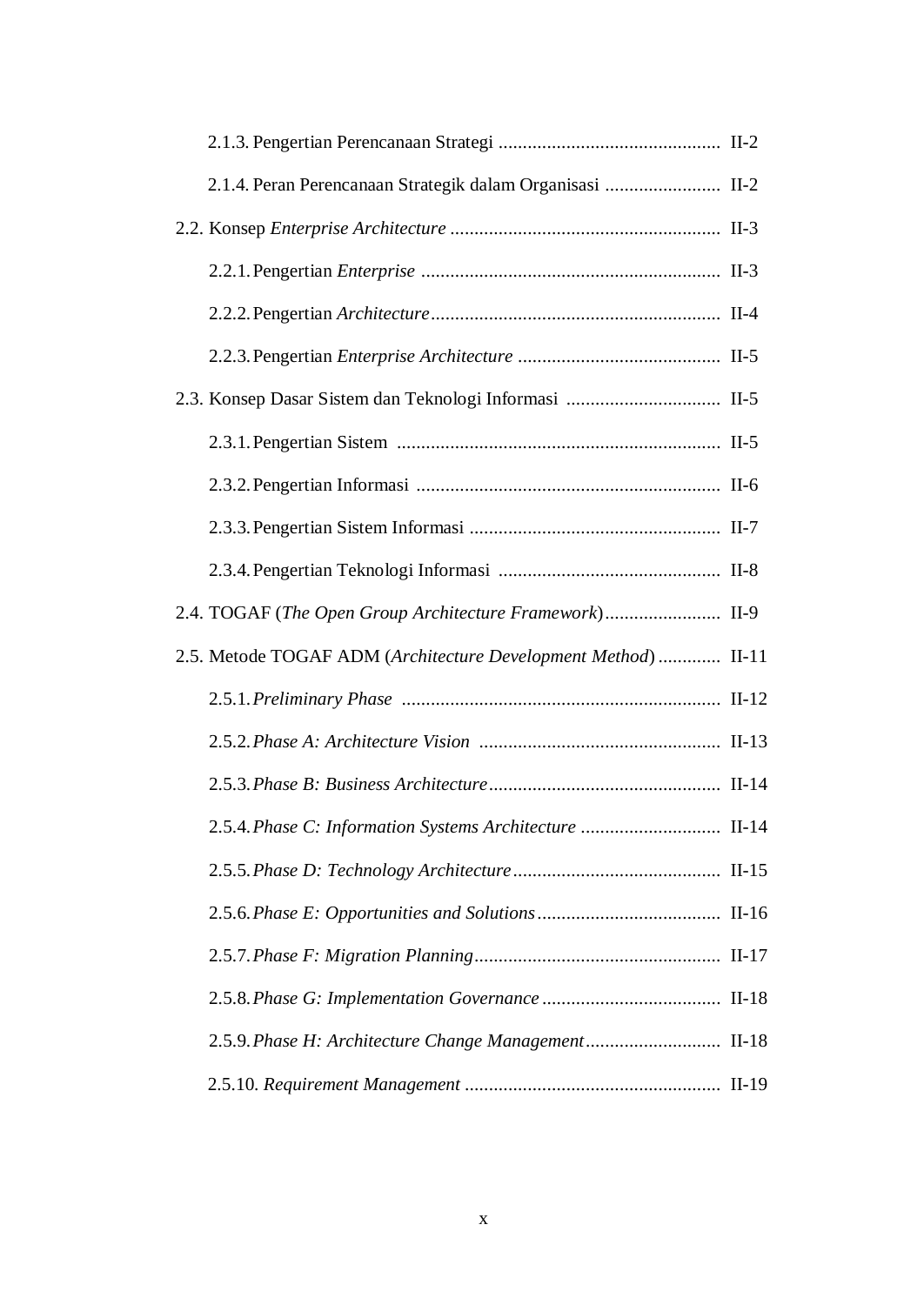| 2.1.4. Peran Perencanaan Strategik dalam Organisasi  II-2      |  |
|----------------------------------------------------------------|--|
|                                                                |  |
|                                                                |  |
|                                                                |  |
|                                                                |  |
|                                                                |  |
|                                                                |  |
|                                                                |  |
|                                                                |  |
|                                                                |  |
| 2.4. TOGAF (The Open Group Architecture Framework) II-9        |  |
| 2.5. Metode TOGAF ADM (Architecture Development Method)  II-11 |  |
|                                                                |  |
|                                                                |  |
|                                                                |  |
| 2.5.4. Phase C: Information Systems Architecture  II-14        |  |
|                                                                |  |
|                                                                |  |
|                                                                |  |
|                                                                |  |
| 2.5.9. Phase H: Architecture Change Management II-18           |  |
|                                                                |  |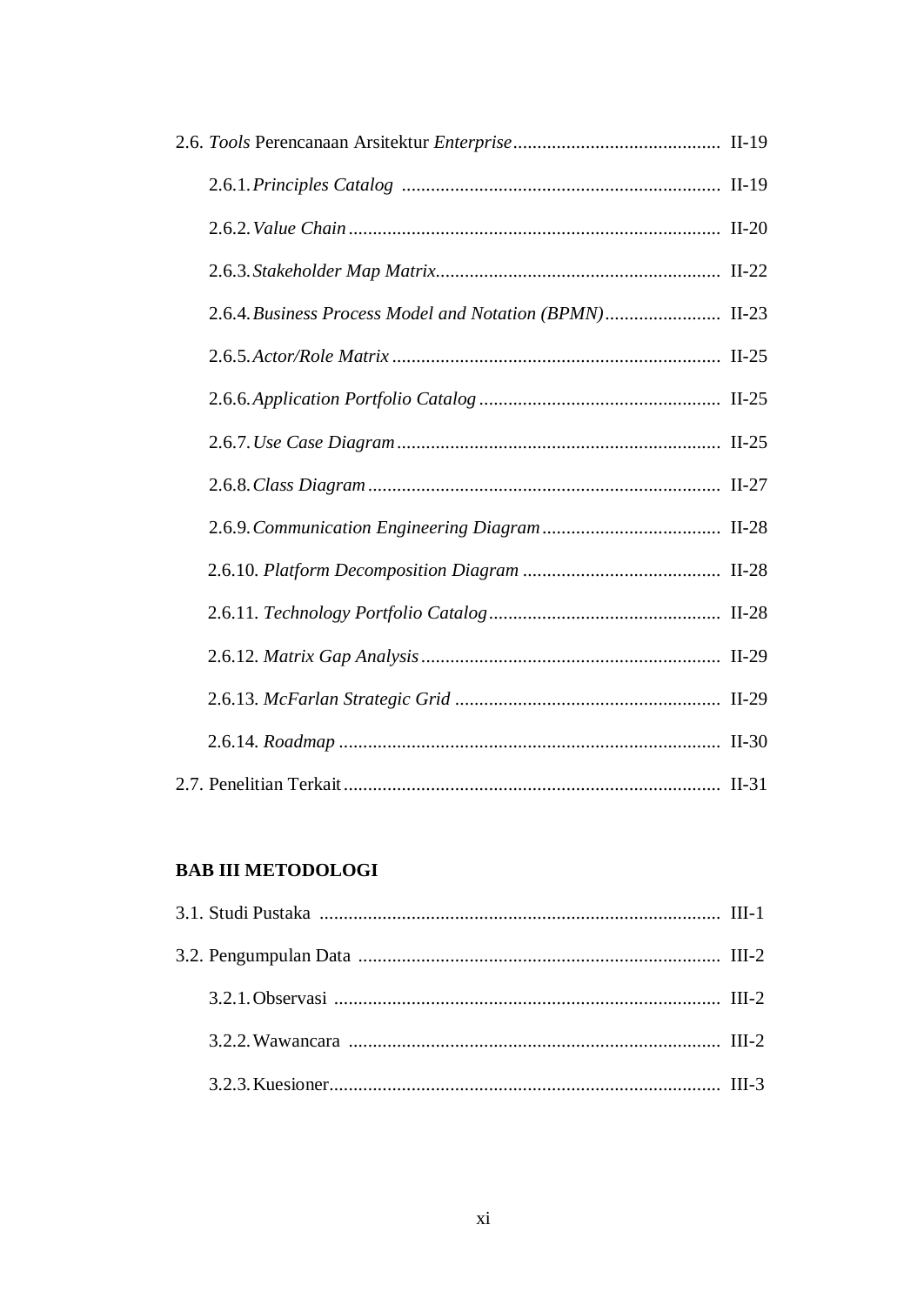| 2.6.4. Business Process Model and Notation (BPMN) II-23 |  |
|---------------------------------------------------------|--|
|                                                         |  |
|                                                         |  |
|                                                         |  |
|                                                         |  |
|                                                         |  |
|                                                         |  |
|                                                         |  |
|                                                         |  |
|                                                         |  |
|                                                         |  |
|                                                         |  |

#### **BAB III METODOLOGI**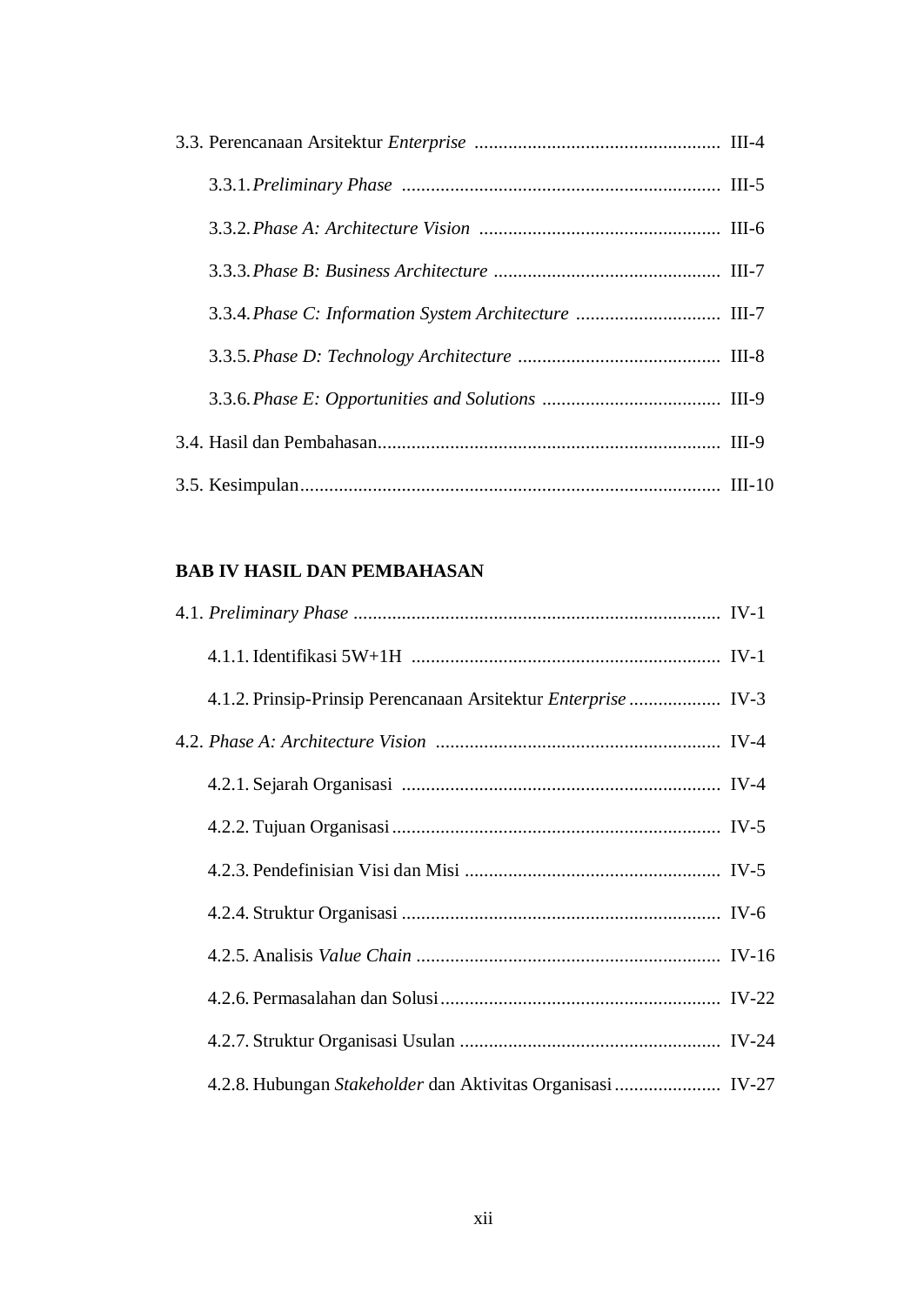| 3.3.4. Phase C: Information System Architecture  III-7 |  |
|--------------------------------------------------------|--|
|                                                        |  |
|                                                        |  |
|                                                        |  |
|                                                        |  |

#### **BAB IV HASIL DAN PEMBAHASAN**

| 4.1.2. Prinsip-Prinsip Perencanaan Arsitektur Enterprise  IV-3 |  |
|----------------------------------------------------------------|--|
|                                                                |  |
|                                                                |  |
|                                                                |  |
|                                                                |  |
|                                                                |  |
|                                                                |  |
|                                                                |  |
|                                                                |  |
| 4.2.8. Hubungan Stakeholder dan Aktivitas Organisasi IV-27     |  |